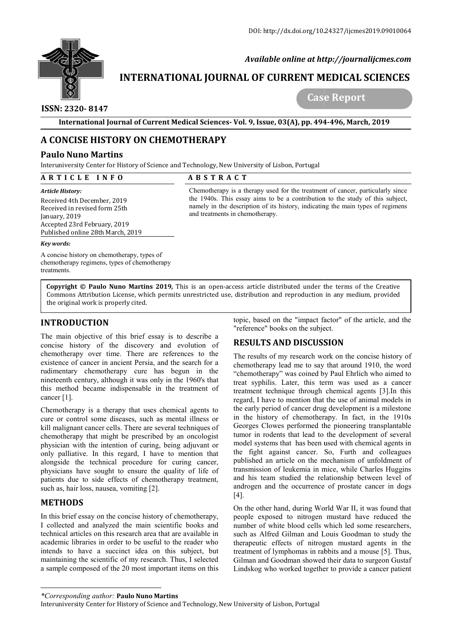

 *Available online at http://journalijcmes.com*

# **INTERNATIONAL JOURNAL OF CURRENT MEDICAL SCIENCES SCIENCES**

## **ISSN: 2320- 8147**

 **Case Report**

**International Journal of Current Medical Sciences Sciences- Vol. 9, Issue, 03(A), pp. 494**

## **A CONCISE HISTORY ON CHEMOTHERAPY**

### **Paulo Nuno Martins**

Interuniversity Center for History of Science and Technology, New University of Lisbon, Portugal

| ARTICLE INFO                                                                                                                                                           | <b>ABSTRACT</b>                                                                                                                                                                                                                                                                       |
|------------------------------------------------------------------------------------------------------------------------------------------------------------------------|---------------------------------------------------------------------------------------------------------------------------------------------------------------------------------------------------------------------------------------------------------------------------------------|
| Article History:<br>Received 4th December, 2019<br>Received in revised form 25th<br>January, 2019<br>Accepted 23rd February, 2019<br>Published online 28th March, 2019 | Chemotherapy is a therapy used for the treatment of cancer, particularly since<br>the 1940s. This essay aims to be a contribution to the study of this subject,<br>namely in the description of its history, indicating the main types of regimens<br>and treatments in chemotherapy. |
| Key words:                                                                                                                                                             |                                                                                                                                                                                                                                                                                       |
| A concise history on chemotherapy, types of<br>chemotherapy regimens, types of chemotherapy<br>treatments.                                                             |                                                                                                                                                                                                                                                                                       |

**Copyright © Paulo Nuno Martins 201 2019***,* This is an open-access article distributed under the terms of the Creative **Copyright © Paulo Nuno Martins 2019,** This is an open-access article distributed under the terms of the Creative<br>Commons Attribution License, which permits unrestricted use, distribution and reproduction in any medium, pr the original work is properly cited.

## **INTRODUCTION**

The main objective of this brief essay is to describe a concise history of the discovery and evolution of chemotherapy over time. There are references to the existence of cancer in ancient Persia, and the search for a rudimentary chemotherapy cure has begun in the nineteenth century, although it was only in the 1960's that this method became indispensable in the treatment of cancer [1].

Chemotherapy is a therapy that uses chemical agents to cure or control some diseases, such as mental illness or kill malignant cancer cells. There are several techniques of chemotherapy that might be prescribed by an oncologist physician with the intention of curing, being adjuvant or only palliative. In this regard, I have to mention that alongside the technical procedure for curing cancer, physicians have sought to ensure the quality of life of patients due to side effects of chemotherapy treatment, such as, hair loss, nausea, vomiting [2].

## **METHODS**

In this brief essay on the concise history of chemotherapy, I collected and analyzed the main scientific books and technical articles on this research area that are available in academic libraries in order to be useful to the reader who intends to have a succinct idea on this subject, but maintaining the scientific of my research. Thus, I selected a sample composed of the 20 most important items on this topic, based on the "impact factor" of the article, and the "reference" books on the subject.

## **RESULTS AND DISCUSSION**

"reference" books on the subject.<br> **RESULTS AND DISCUSSION**<br>
The results of my research work on the concise history of chemotherapy lead me to say that around 1910, the word "chemotherapy" was coined by Paul Ehrlich who aimed to treat syphilis. Later, this term was used as a cancer treat syphilis. Later, this term was used as a cancer treatment technique through chemical agents [3].In this regard, I have to mention that the use of animal models in the early period of cancer drug development is a milestone in the history of chemotherapy. In fact, in the 1910s Georges Clowes performed the pioneering transplantable tumor in rodents that lead to the development of several model systems that has been used with chemical agents in the fight against cancer. So, Furth and colleagues the fight against cancer. So, Furth and colleagues published an article on the mechanism of unfoldment of transmission of leukemia in mice, while Charles Huggins transmission of leukemia in mice, while Charles Huggins and his team studied the relationship between level of androgen and the occurrence of prostate cancer in dogs [4]. ntion that the use of animal models in<br>ancer drug development is a milestone<br>themotherapy. In fact, in the 1910s<br>formed the pioneering transplantable<br>at lead to the development of several<br>has been used with chemical agents **03(A), pp. 494-496, March, 2019**<br>
shon, Portugal<br>
for the treatment of cancer, particularly<br>
e a contribution to the study of this s<br>
history, indicating the main types of reg<br>
d reproduction in any medium, provi<br>
ributed

On the other hand, during World War II, it was found that people exposed to nitrogen mustard have reduced the number of white blood cells which led some researchers. such as Alfred Gilman and Louis Goodman to study the therapeutic effects of nitrogen mustard agents in the treatment of lymphomas in rabbits and a mouse [5]. Thus, number of white blood cells which led some researchers, such as Alfred Gilman and Louis Goodman to study the therapeutic effects of nitrogen mustard agents in the treatment of lymphomas in rabbits and a mouse [5]. Thus, Gi Lindskog who worked together to provide a cancer patient d the occurrence of prostate cancer in dogs<br>hand, during World War II, it was found that<br>sed to nitrogen mustard have reduced the

*<sup>\*</sup>Corresponding author:* **Paulo Nuno Martins**

Interuniversity Center for History of Science and Technology, New University of Lisbon, Portugal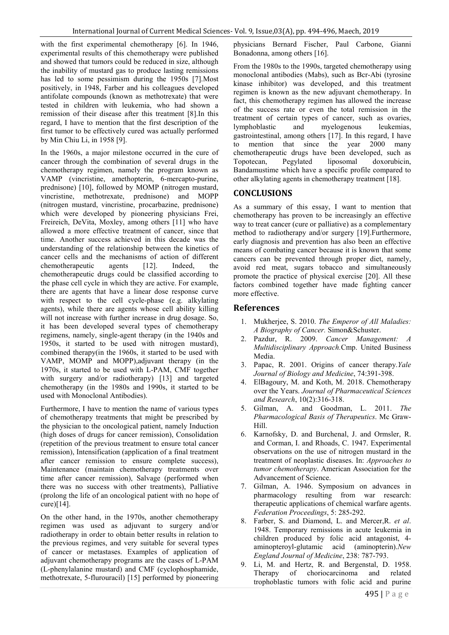with the first experimental chemotherapy [6]. In 1946, experimental results of this chemotherapy were published and showed that tumors could be reduced in size, although the inability of mustard gas to produce lasting remissions has led to some pessimism during the 1950s [7].Most positively, in 1948, Farber and his colleagues developed antifolate compounds (known as methotrexate) that were tested in children with leukemia, who had shown a remission of their disease after this treatment [8].In this regard, I have to mention that the first description of the first tumor to be effectively cured was actually performed by Min Chiu Li, in 1958 [9].

In the 1960s, a major milestone occurred in the cure of cancer through the combination of several drugs in the chemotherapy regimen, namely the program known as VAMP (vincristine, amethopterin, 6-mercapto-purine, prednisone) [10], followed by MOMP (nitrogen mustard, vincristine, methotrexate, prednisone) and MOPP (nitrogen mustard, vincristine, procarbazine, prednisone) which were developed by pioneering physicians Frei, Freireich, DeVita, Moxley, among others [11] who have allowed a more effective treatment of cancer, since that time. Another success achieved in this decade was the understanding of the relationship between the kinetics of cancer cells and the mechanisms of action of different chemotherapeutic agents [12]. Indeed, the chemotherapeutic drugs could be classified according to the phase cell cycle in which they are active. For example, there are agents that have a linear dose response curve with respect to the cell cycle-phase (e.g. alkylating agents), while there are agents whose cell ability killing will not increase with further increase in drug dosage. So, it has been developed several types of chemotherapy regimens, namely, single-agent therapy (in the 1940s and 1950s, it started to be used with nitrogen mustard), combined therapy(in the 1960s, it started to be used with VAMP, MOMP and MOPP),adjuvant therapy (in the 1970s, it started to be used with L-PAM, CMF together with surgery and/or radiotherapy) [13] and targeted chemotherapy (in the 1980s and 1990s, it started to be used with Monoclonal Antibodies).

Furthermore, I have to mention the name of various types of chemotherapy treatments that might be prescribed by the physician to the oncological patient, namely Induction (high doses of drugs for cancer remission), Consolidation (repetition of the previous treatment to ensure total cancer remission), Intensification (application of a final treatment after cancer remission to ensure complete success), Maintenance (maintain chemotherapy treatments over time after cancer remission), Salvage (performed when there was no success with other treatments), Palliative (prolong the life of an oncological patient with no hope of cure)[14].

On the other hand, in the 1970s, another chemotherapy regimen was used as adjuvant to surgery and/or radiotherapy in order to obtain better results in relation to the previous regimes, and very suitable for several types of cancer or metastases. Examples of application of adjuvant chemotherapy programs are the cases of L-PAM (L-phenylalanine mustard) and CMF (cyclophosphamide, methotrexate, 5-flurouracil) [15] performed by pioneering physicians Bernard Fischer, Paul Carbone, Gianni Bonadonna, among others [16].

From the 1980s to the 1990s, targeted chemotherapy using monoclonal antibodies (Mabs), such as Bcr-Abi (tyrosine kinase inhibitor) was developed, and this treatment regimen is known as the new adjuvant chemotherapy. In fact, this chemotherapy regimen has allowed the increase of the success rate or even the total remission in the treatment of certain types of cancer, such as ovaries, lymphoblastic and myelogenous leukemias, gastrointestinal, among others [17]. In this regard, I have<br>to mention that since the year 2000 many to mention that since the year 2000 many chemotherapeutic drugs have been developed, such as Topotecan, Pegylated liposomal doxorubicin, Bandamustime which have a specific profile compared to other alkylating agents in chemotherapy treatment [18].

### **CONCLUSIONS**

As a summary of this essay, I want to mention that chemotherapy has proven to be increasingly an effective way to treat cancer (cure or palliative) as a complementary method to radiotherapy and/or surgery [19].Furthermore, early diagnosis and prevention has also been an effective means of combating cancer because it is known that some cancers can be prevented through proper diet, namely, avoid red meat, sugars tobacco and simultaneously promote the practice of physical exercise [20]. All these factors combined together have made fighting cancer more effective.

#### **References**

- 1. Mukherjee, S. 2010. *The Emperor of All Maladies: A Biography of Cancer.* Simon&Schuster.
- 2. Pazdur, R. 2009. *Cancer Management: A Multidisciplinary Approach.*Cmp. United Business Media.
- 3. Papac, R. 2001. Origins of cancer therapy.*Yale Journal of Biology and Medicine*, 74:391-398.
- 4. ElBagoury, M. and Koth, M. 2018. Chemotherapy over the Years. *Journal of Pharmaceutical Sciences and Research*, 10(2):316-318.
- 5. Gilman, A. and Goodman, L. 2011. *The Pharmacological Basis of Therapeutics*. Mc Graw-Hill.
- 6. Karnofsky, D. and Burchenal, J. and Ormsler, R. and Corman, I. and Rhoads, C. 1947. Experimental observations on the use of nitrogen mustard in the treatment of neoplastic diseases. In: *Approaches to tumor chemotherapy*. American Association for the Advancement of Science.
- 7. Gilman, A. 1946. Symposium on advances in pharmacology resulting from war research: therapeutic applications of chemical warfare agents. *Federation Proceedings*, 5: 285-292.
- 8. Farber, S. and Diamond, L. and Mercer,R. *et al*. 1948. Temporary remissions in acute leukemia in children produced by folic acid antagonist, 4 aminopteroyl-glutamic acid (aminopterin).*New England Journal of Medicine*, 238: 787-793.
- 9. Li, M. and Hertz, R. and Bergenstal, D. 1958. Therapy of choriocarcinoma and related trophoblastic tumors with folic acid and purine